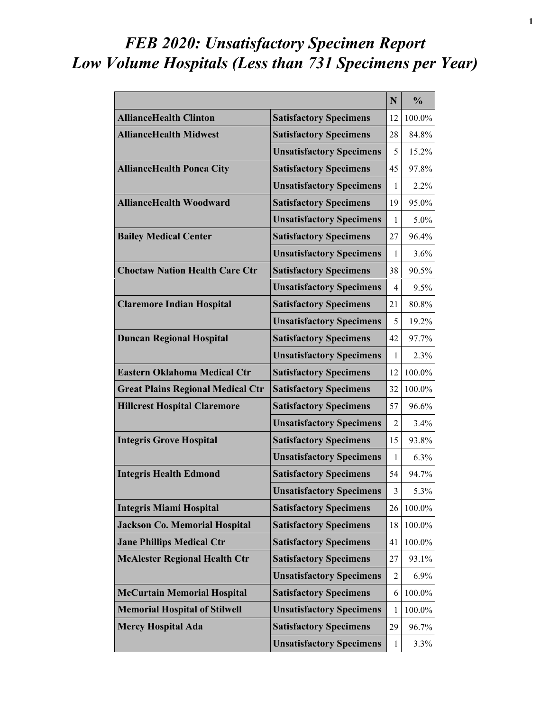## *FEB 2020: Unsatisfactory Specimen Report Low Volume Hospitals (Less than 731 Specimens per Year)*

|                                          |                                 | N            | $\frac{0}{0}$ |
|------------------------------------------|---------------------------------|--------------|---------------|
| <b>AllianceHealth Clinton</b>            | <b>Satisfactory Specimens</b>   | 12           | 100.0%        |
| <b>AllianceHealth Midwest</b>            | <b>Satisfactory Specimens</b>   | 28           | 84.8%         |
|                                          | <b>Unsatisfactory Specimens</b> | 5            | 15.2%         |
| <b>AllianceHealth Ponca City</b>         | <b>Satisfactory Specimens</b>   | 45           | 97.8%         |
|                                          | <b>Unsatisfactory Specimens</b> | 1            | 2.2%          |
| <b>AllianceHealth Woodward</b>           | <b>Satisfactory Specimens</b>   | 19           | 95.0%         |
|                                          | <b>Unsatisfactory Specimens</b> | 1            | $5.0\%$       |
| <b>Bailey Medical Center</b>             | <b>Satisfactory Specimens</b>   | 27           | 96.4%         |
|                                          | <b>Unsatisfactory Specimens</b> | 1            | $3.6\%$       |
| <b>Choctaw Nation Health Care Ctr</b>    | <b>Satisfactory Specimens</b>   | 38           | 90.5%         |
|                                          | <b>Unsatisfactory Specimens</b> | 4            | 9.5%          |
| <b>Claremore Indian Hospital</b>         | <b>Satisfactory Specimens</b>   | 21           | 80.8%         |
|                                          | <b>Unsatisfactory Specimens</b> | 5            | 19.2%         |
| <b>Duncan Regional Hospital</b>          | <b>Satisfactory Specimens</b>   | 42           | 97.7%         |
|                                          | <b>Unsatisfactory Specimens</b> | 1            | 2.3%          |
| <b>Eastern Oklahoma Medical Ctr</b>      | <b>Satisfactory Specimens</b>   | 12           | 100.0%        |
| <b>Great Plains Regional Medical Ctr</b> | <b>Satisfactory Specimens</b>   | 32           | 100.0%        |
| <b>Hillcrest Hospital Claremore</b>      | <b>Satisfactory Specimens</b>   | 57           | 96.6%         |
|                                          | <b>Unsatisfactory Specimens</b> | 2            | 3.4%          |
| <b>Integris Grove Hospital</b>           | <b>Satisfactory Specimens</b>   | 15           | 93.8%         |
|                                          | <b>Unsatisfactory Specimens</b> | $\mathbf{1}$ | 6.3%          |
| <b>Integris Health Edmond</b>            | <b>Satisfactory Specimens</b>   | 54           | 94.7%         |
|                                          | <b>Unsatisfactory Specimens</b> | 3            | 5.3%          |
| <b>Integris Miami Hospital</b>           | <b>Satisfactory Specimens</b>   | 26           | 100.0%        |
| <b>Jackson Co. Memorial Hospital</b>     | <b>Satisfactory Specimens</b>   | 18           | 100.0%        |
| <b>Jane Phillips Medical Ctr</b>         | <b>Satisfactory Specimens</b>   | 41           | 100.0%        |
| <b>McAlester Regional Health Ctr</b>     | <b>Satisfactory Specimens</b>   | 27           | 93.1%         |
|                                          | <b>Unsatisfactory Specimens</b> | 2            | 6.9%          |
| <b>McCurtain Memorial Hospital</b>       | <b>Satisfactory Specimens</b>   | 6            | 100.0%        |
| <b>Memorial Hospital of Stilwell</b>     | <b>Unsatisfactory Specimens</b> | 1            | 100.0%        |
| <b>Mercy Hospital Ada</b>                | <b>Satisfactory Specimens</b>   | 29           | 96.7%         |
|                                          | <b>Unsatisfactory Specimens</b> | 1            | 3.3%          |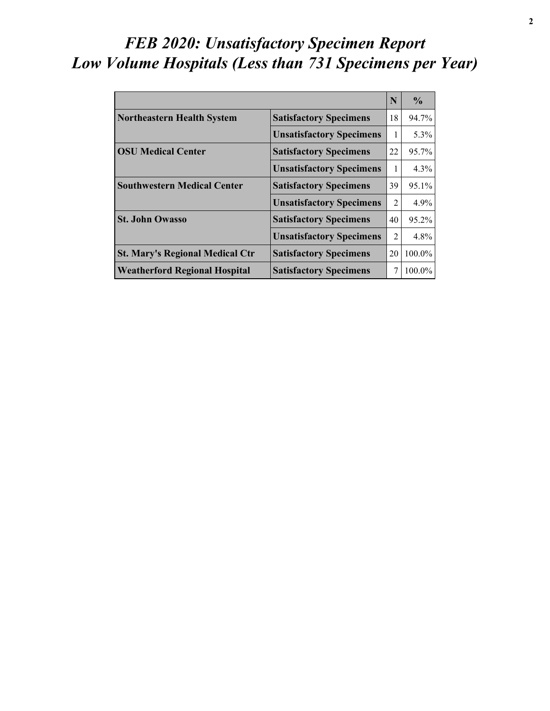### *FEB 2020: Unsatisfactory Specimen Report Low Volume Hospitals (Less than 731 Specimens per Year)*

|                                        |                                 | N              | $\frac{0}{0}$ |
|----------------------------------------|---------------------------------|----------------|---------------|
| Northeastern Health System             | <b>Satisfactory Specimens</b>   | 18             | 94.7%         |
|                                        | <b>Unsatisfactory Specimens</b> | 1              | 5.3%          |
| <b>OSU Medical Center</b>              | <b>Satisfactory Specimens</b>   | 22             | 95.7%         |
|                                        | <b>Unsatisfactory Specimens</b> | 1              | $4.3\%$       |
| <b>Southwestern Medical Center</b>     | <b>Satisfactory Specimens</b>   | 39             | 95.1%         |
|                                        | <b>Unsatisfactory Specimens</b> | $\mathfrak{D}$ | $4.9\%$       |
| <b>St. John Owasso</b>                 | <b>Satisfactory Specimens</b>   | 40             | $95.2\%$      |
|                                        | <b>Unsatisfactory Specimens</b> | $\mathfrak{D}$ | $4.8\%$       |
| <b>St. Mary's Regional Medical Ctr</b> | <b>Satisfactory Specimens</b>   | 20             | $100.0\%$     |
| <b>Weatherford Regional Hospital</b>   | <b>Satisfactory Specimens</b>   |                | 100.0%        |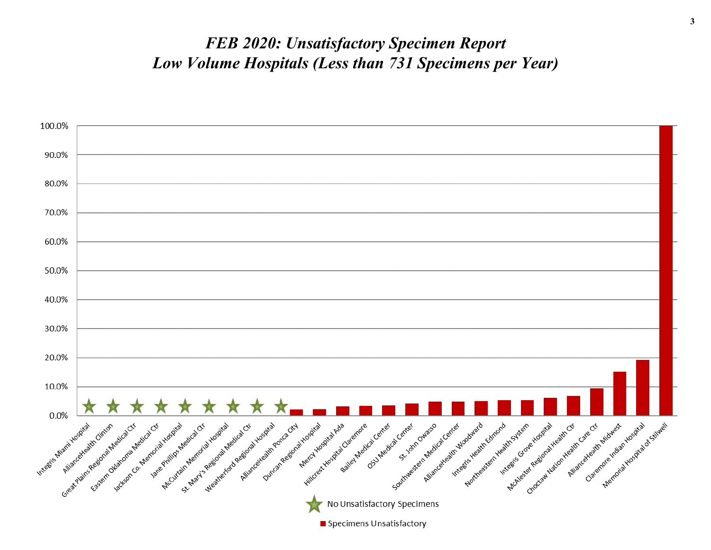#### *FEB 2020: Unsatisfactory Specimen Report Low Volume Hospitals (Less than 731 Specimens per Year)*

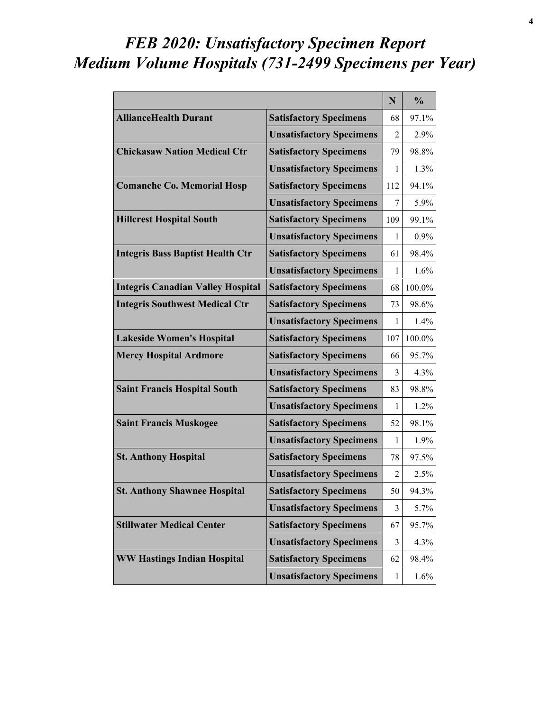### *FEB 2020: Unsatisfactory Specimen Report Medium Volume Hospitals (731-2499 Specimens per Year)*

|                                          |                                 | N              | $\frac{0}{0}$ |
|------------------------------------------|---------------------------------|----------------|---------------|
| <b>AllianceHealth Durant</b>             | <b>Satisfactory Specimens</b>   | 68             | 97.1%         |
|                                          | <b>Unsatisfactory Specimens</b> | $\overline{2}$ | 2.9%          |
| <b>Chickasaw Nation Medical Ctr</b>      | <b>Satisfactory Specimens</b>   | 79             | 98.8%         |
|                                          | <b>Unsatisfactory Specimens</b> | 1              | 1.3%          |
| <b>Comanche Co. Memorial Hosp</b>        | <b>Satisfactory Specimens</b>   | 112            | 94.1%         |
|                                          | <b>Unsatisfactory Specimens</b> | 7              | 5.9%          |
| <b>Hillcrest Hospital South</b>          | <b>Satisfactory Specimens</b>   | 109            | 99.1%         |
|                                          | <b>Unsatisfactory Specimens</b> | 1              | $0.9\%$       |
| <b>Integris Bass Baptist Health Ctr</b>  | <b>Satisfactory Specimens</b>   | 61             | 98.4%         |
|                                          | <b>Unsatisfactory Specimens</b> | 1              | 1.6%          |
| <b>Integris Canadian Valley Hospital</b> | <b>Satisfactory Specimens</b>   | 68             | 100.0%        |
| <b>Integris Southwest Medical Ctr</b>    | <b>Satisfactory Specimens</b>   | 73             | 98.6%         |
|                                          | <b>Unsatisfactory Specimens</b> | 1              | $1.4\%$       |
| <b>Lakeside Women's Hospital</b>         | <b>Satisfactory Specimens</b>   | 107            | 100.0%        |
| <b>Mercy Hospital Ardmore</b>            | <b>Satisfactory Specimens</b>   | 66             | 95.7%         |
|                                          | <b>Unsatisfactory Specimens</b> | 3              | 4.3%          |
| <b>Saint Francis Hospital South</b>      | <b>Satisfactory Specimens</b>   | 83             | 98.8%         |
|                                          | <b>Unsatisfactory Specimens</b> | 1              | 1.2%          |
| <b>Saint Francis Muskogee</b>            | <b>Satisfactory Specimens</b>   | 52             | 98.1%         |
|                                          | <b>Unsatisfactory Specimens</b> | 1              | 1.9%          |
| <b>St. Anthony Hospital</b>              | <b>Satisfactory Specimens</b>   | 78             | 97.5%         |
|                                          | <b>Unsatisfactory Specimens</b> | $\overline{2}$ | 2.5%          |
| <b>St. Anthony Shawnee Hospital</b>      | <b>Satisfactory Specimens</b>   | 50             | 94.3%         |
|                                          | <b>Unsatisfactory Specimens</b> | 3              | 5.7%          |
| <b>Stillwater Medical Center</b>         | <b>Satisfactory Specimens</b>   | 67             | 95.7%         |
|                                          | <b>Unsatisfactory Specimens</b> | 3              | 4.3%          |
| <b>WW Hastings Indian Hospital</b>       | <b>Satisfactory Specimens</b>   | 62             | 98.4%         |
|                                          | <b>Unsatisfactory Specimens</b> | $\mathbf{1}$   | 1.6%          |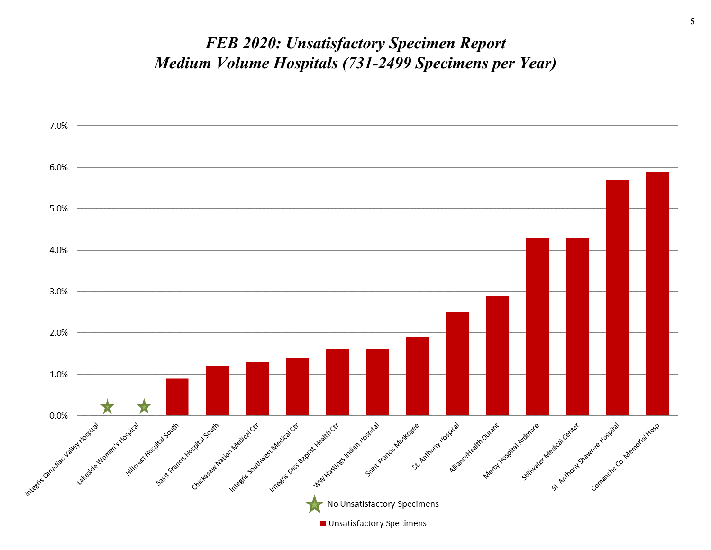#### *FEB 2020: Unsatisfactory Specimen Report Medium Volume Hospitals (731-2499 Specimens per Year)*

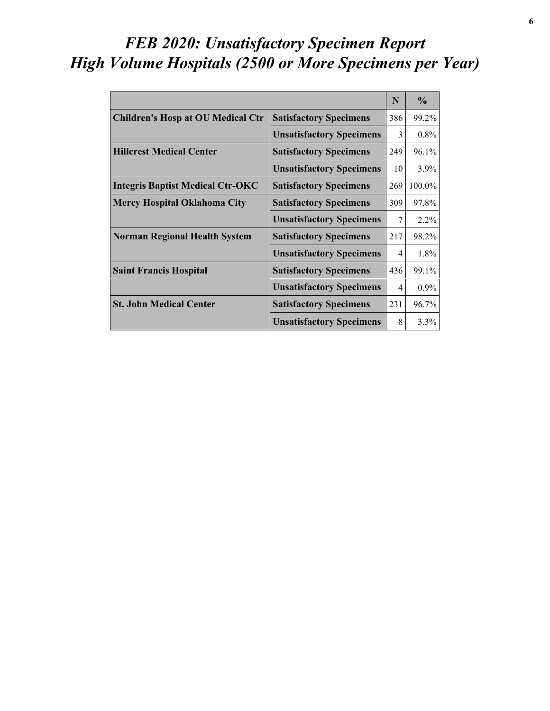# *FEB 2020: Unsatisfactory Specimen Report High Volume Hospitals (2500 or More Specimens per Year)*

|                                          |                                 | N              | $\frac{0}{0}$ |
|------------------------------------------|---------------------------------|----------------|---------------|
| <b>Children's Hosp at OU Medical Ctr</b> | <b>Satisfactory Specimens</b>   | 386            | 99.2%         |
|                                          | <b>Unsatisfactory Specimens</b> | 3              | $0.8\%$       |
| <b>Hillcrest Medical Center</b>          | <b>Satisfactory Specimens</b>   | 249            | 96.1%         |
|                                          | <b>Unsatisfactory Specimens</b> | 10             | 3.9%          |
| <b>Integris Baptist Medical Ctr-OKC</b>  | <b>Satisfactory Specimens</b>   | 269            | 100.0%        |
| <b>Mercy Hospital Oklahoma City</b>      | <b>Satisfactory Specimens</b>   | 309            | 97.8%         |
|                                          | <b>Unsatisfactory Specimens</b> | $\overline{7}$ | 2.2%          |
| <b>Norman Regional Health System</b>     | <b>Satisfactory Specimens</b>   | 217            | 98.2%         |
|                                          | <b>Unsatisfactory Specimens</b> | 4              | 1.8%          |
| <b>Saint Francis Hospital</b>            | <b>Satisfactory Specimens</b>   | 436            | 99.1%         |
|                                          | <b>Unsatisfactory Specimens</b> | 4              | $0.9\%$       |
| <b>St. John Medical Center</b>           | <b>Satisfactory Specimens</b>   | 231            | 96.7%         |
|                                          | <b>Unsatisfactory Specimens</b> | 8              | 3.3%          |